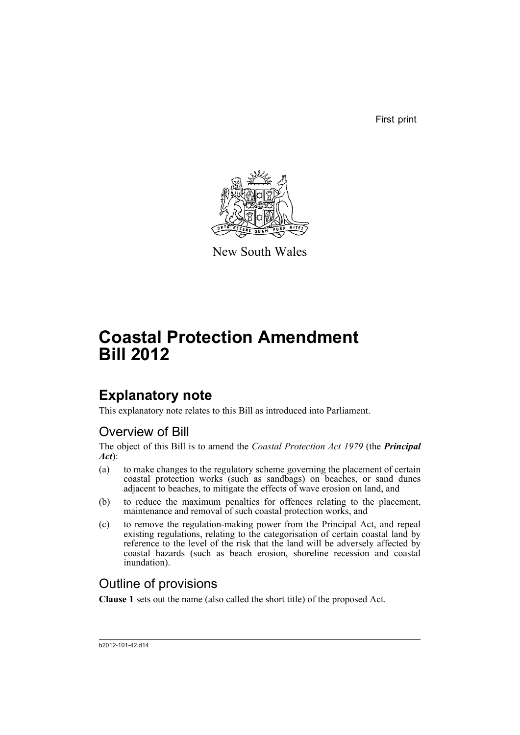First print



New South Wales

# **Coastal Protection Amendment Bill 2012**

# **Explanatory note**

This explanatory note relates to this Bill as introduced into Parliament.

# Overview of Bill

The object of this Bill is to amend the *Coastal Protection Act 1979* (the *Principal Act*):

- (a) to make changes to the regulatory scheme governing the placement of certain coastal protection works (such as sandbags) on beaches, or sand dunes adjacent to beaches, to mitigate the effects of wave erosion on land, and
- (b) to reduce the maximum penalties for offences relating to the placement, maintenance and removal of such coastal protection works, and
- (c) to remove the regulation-making power from the Principal Act, and repeal existing regulations, relating to the categorisation of certain coastal land by reference to the level of the risk that the land will be adversely affected by coastal hazards (such as beach erosion, shoreline recession and coastal inundation).

# Outline of provisions

**Clause 1** sets out the name (also called the short title) of the proposed Act.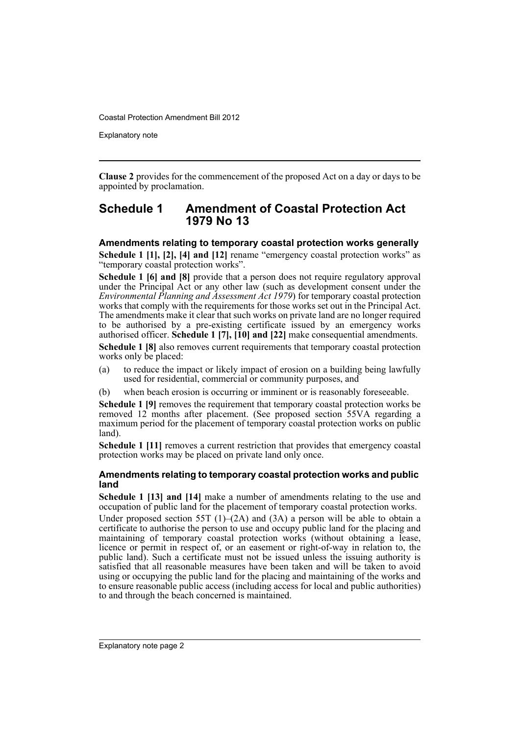Explanatory note

**Clause 2** provides for the commencement of the proposed Act on a day or days to be appointed by proclamation.

### **Schedule 1 Amendment of Coastal Protection Act 1979 No 13**

#### **Amendments relating to temporary coastal protection works generally**

**Schedule 1 [1], [2], [4] and [12]** rename "emergency coastal protection works" as "temporary coastal protection works".

**Schedule 1 [6] and [8]** provide that a person does not require regulatory approval under the Principal Act or any other law (such as development consent under the *Environmental Planning and Assessment Act 1979*) for temporary coastal protection works that comply with the requirements for those works set out in the Principal Act. The amendments make it clear that such works on private land are no longer required to be authorised by a pre-existing certificate issued by an emergency works authorised officer. **Schedule 1 [7], [10] and [22]** make consequential amendments.

**Schedule 1 [8]** also removes current requirements that temporary coastal protection works only be placed:

- (a) to reduce the impact or likely impact of erosion on a building being lawfully used for residential, commercial or community purposes, and
- (b) when beach erosion is occurring or imminent or is reasonably foreseeable.

**Schedule 1 [9]** removes the requirement that temporary coastal protection works be removed 12 months after placement. (See proposed section 55VA regarding a maximum period for the placement of temporary coastal protection works on public land).

**Schedule 1 [11]** removes a current restriction that provides that emergency coastal protection works may be placed on private land only once.

#### **Amendments relating to temporary coastal protection works and public land**

**Schedule 1 [13] and [14]** make a number of amendments relating to the use and occupation of public land for the placement of temporary coastal protection works.

Under proposed section 55T  $(1)$ – $(2A)$  and  $(3A)$  a person will be able to obtain a certificate to authorise the person to use and occupy public land for the placing and maintaining of temporary coastal protection works (without obtaining a lease, licence or permit in respect of, or an easement or right-of-way in relation to, the public land). Such a certificate must not be issued unless the issuing authority is satisfied that all reasonable measures have been taken and will be taken to avoid using or occupying the public land for the placing and maintaining of the works and to ensure reasonable public access (including access for local and public authorities) to and through the beach concerned is maintained.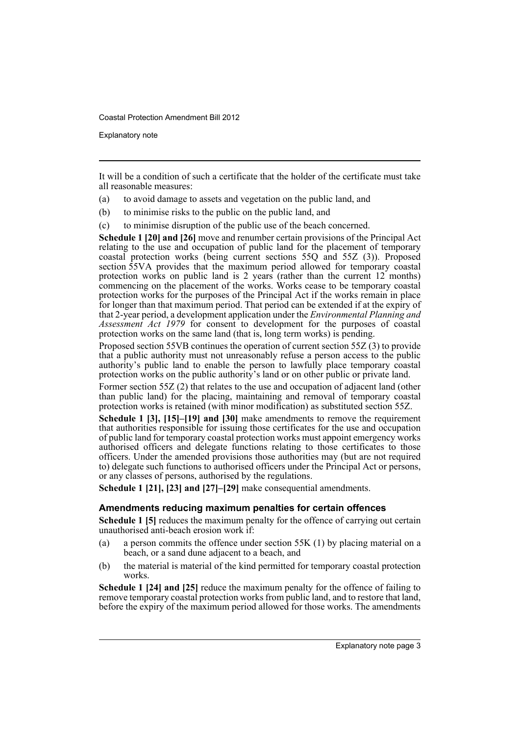Explanatory note

It will be a condition of such a certificate that the holder of the certificate must take all reasonable measures:

- (a) to avoid damage to assets and vegetation on the public land, and
- (b) to minimise risks to the public on the public land, and
- (c) to minimise disruption of the public use of the beach concerned.

**Schedule 1 [20] and [26]** move and renumber certain provisions of the Principal Act relating to the use and occupation of public land for the placement of temporary coastal protection works (being current sections 55Q and 55Z (3)). Proposed section 55VA provides that the maximum period allowed for temporary coastal protection works on public land is 2 years (rather than the current 12 months) commencing on the placement of the works. Works cease to be temporary coastal protection works for the purposes of the Principal Act if the works remain in place for longer than that maximum period. That period can be extended if at the expiry of that 2-year period, a development application under the *Environmental Planning and Assessment Act 1979* for consent to development for the purposes of coastal protection works on the same land (that is, long term works) is pending.

Proposed section 55VB continues the operation of current section 55Z (3) to provide that a public authority must not unreasonably refuse a person access to the public authority's public land to enable the person to lawfully place temporary coastal protection works on the public authority's land or on other public or private land.

Former section 55Z (2) that relates to the use and occupation of adjacent land (other than public land) for the placing, maintaining and removal of temporary coastal protection works is retained (with minor modification) as substituted section 55Z.

**Schedule 1 [3], [15]–[19] and [30]** make amendments to remove the requirement that authorities responsible for issuing those certificates for the use and occupation of public land for temporary coastal protection works must appoint emergency works authorised officers and delegate functions relating to those certificates to those officers. Under the amended provisions those authorities may (but are not required to) delegate such functions to authorised officers under the Principal Act or persons, or any classes of persons, authorised by the regulations.

**Schedule 1 [21], [23] and [27]–[29]** make consequential amendments.

#### **Amendments reducing maximum penalties for certain offences**

**Schedule 1 [5]** reduces the maximum penalty for the offence of carrying out certain unauthorised anti-beach erosion work if:

- (a) a person commits the offence under section 55K (1) by placing material on a beach, or a sand dune adjacent to a beach, and
- (b) the material is material of the kind permitted for temporary coastal protection works.

**Schedule 1 [24] and [25]** reduce the maximum penalty for the offence of failing to remove temporary coastal protection works from public land, and to restore that land, before the expiry of the maximum period allowed for those works. The amendments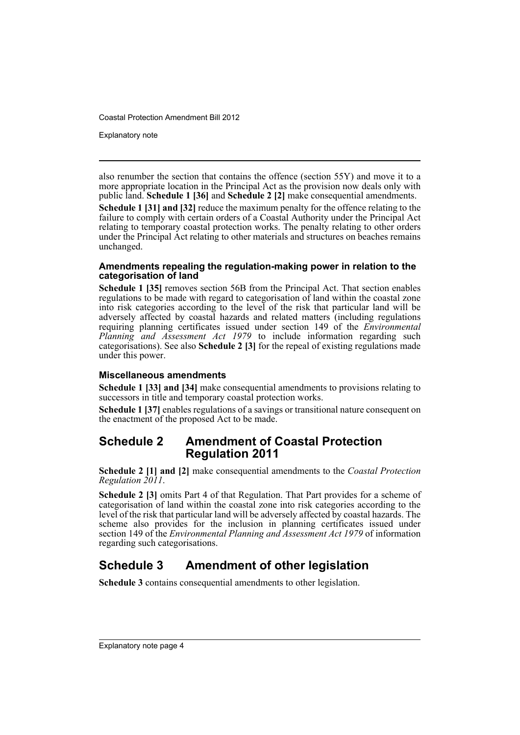Explanatory note

also renumber the section that contains the offence (section 55Y) and move it to a more appropriate location in the Principal Act as the provision now deals only with public land. **Schedule 1 [36]** and **Schedule 2 [2]** make consequential amendments. **Schedule 1 [31] and [32]** reduce the maximum penalty for the offence relating to the failure to comply with certain orders of a Coastal Authority under the Principal Act relating to temporary coastal protection works. The penalty relating to other orders under the Principal Act relating to other materials and structures on beaches remains unchanged.

#### **Amendments repealing the regulation-making power in relation to the categorisation of land**

**Schedule 1 [35]** removes section 56B from the Principal Act. That section enables regulations to be made with regard to categorisation of land within the coastal zone into risk categories according to the level of the risk that particular land will be adversely affected by coastal hazards and related matters (including regulations requiring planning certificates issued under section 149 of the *Environmental Planning and Assessment Act 1979* to include information regarding such categorisations). See also **Schedule 2 [3]** for the repeal of existing regulations made under this power.

#### **Miscellaneous amendments**

**Schedule 1 [33] and [34]** make consequential amendments to provisions relating to successors in title and temporary coastal protection works.

**Schedule 1 [37]** enables regulations of a savings or transitional nature consequent on the enactment of the proposed Act to be made.

## **Schedule 2 Amendment of Coastal Protection Regulation 2011**

**Schedule 2 [1] and [2]** make consequential amendments to the *Coastal Protection Regulation 2011*.

**Schedule 2 [3]** omits Part 4 of that Regulation. That Part provides for a scheme of categorisation of land within the coastal zone into risk categories according to the level of the risk that particular land will be adversely affected by coastal hazards. The scheme also provides for the inclusion in planning certificates issued under section 149 of the *Environmental Planning and Assessment Act 1979* of information regarding such categorisations.

# **Schedule 3 Amendment of other legislation**

**Schedule 3** contains consequential amendments to other legislation.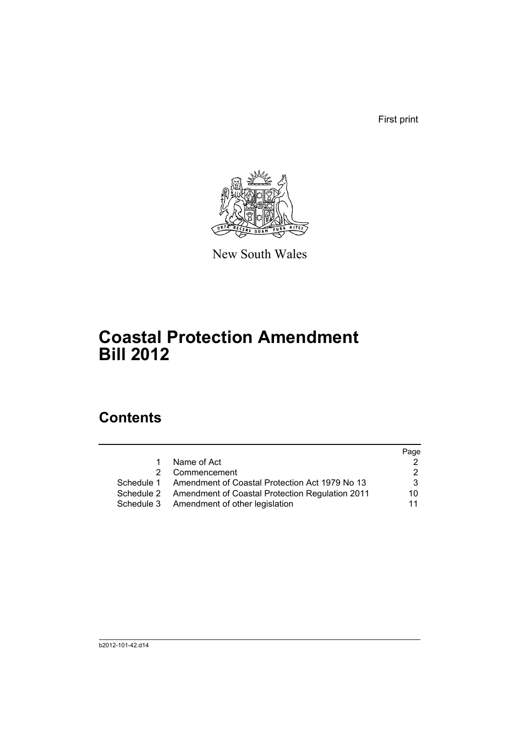First print



New South Wales

# **Coastal Protection Amendment Bill 2012**

# **Contents**

|            |                                                           | Page |
|------------|-----------------------------------------------------------|------|
| 1.         | Name of Act                                               |      |
| 2          | Commencement                                              |      |
|            | Schedule 1 Amendment of Coastal Protection Act 1979 No 13 | 3    |
| Schedule 2 | <b>Amendment of Coastal Protection Regulation 2011</b>    | 10   |
|            | Schedule 3 Amendment of other legislation                 | 11   |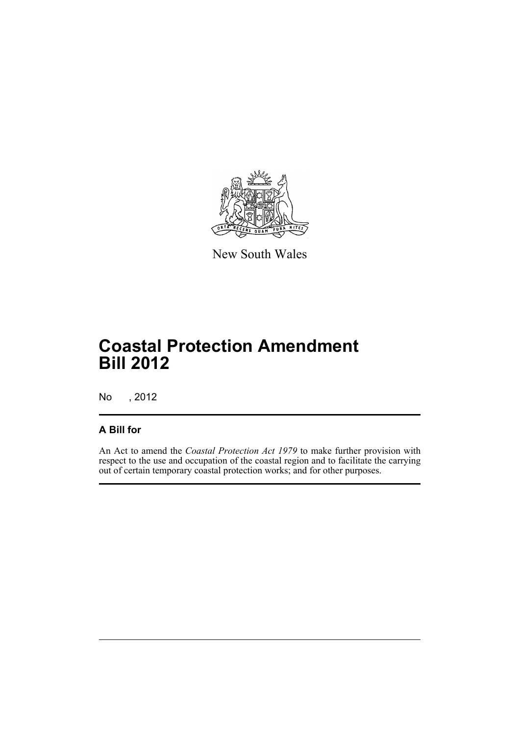

New South Wales

# **Coastal Protection Amendment Bill 2012**

No , 2012

## **A Bill for**

An Act to amend the *Coastal Protection Act 1979* to make further provision with respect to the use and occupation of the coastal region and to facilitate the carrying out of certain temporary coastal protection works; and for other purposes.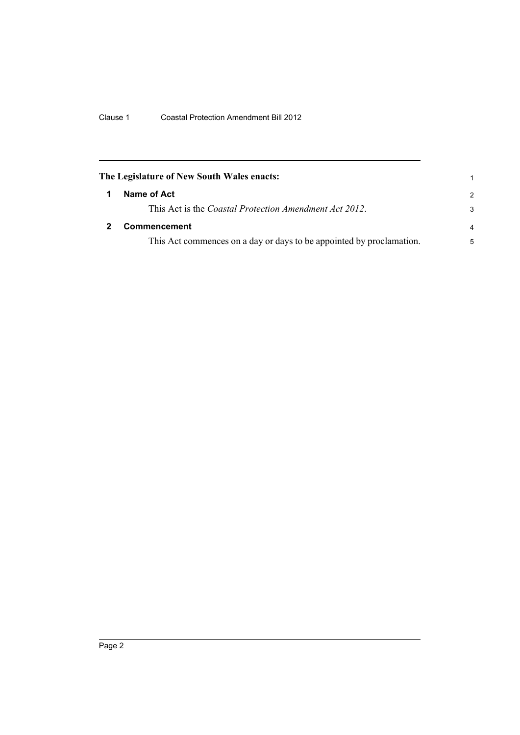<span id="page-7-1"></span><span id="page-7-0"></span>

| The Legislature of New South Wales enacts: |                                                                      |                |
|--------------------------------------------|----------------------------------------------------------------------|----------------|
|                                            | Name of Act                                                          | $\mathcal{P}$  |
|                                            | This Act is the <i>Coastal Protection Amendment Act 2012</i> .       | 3              |
|                                            | <b>Commencement</b>                                                  | $\overline{a}$ |
|                                            | This Act commences on a day or days to be appointed by proclamation. | 5              |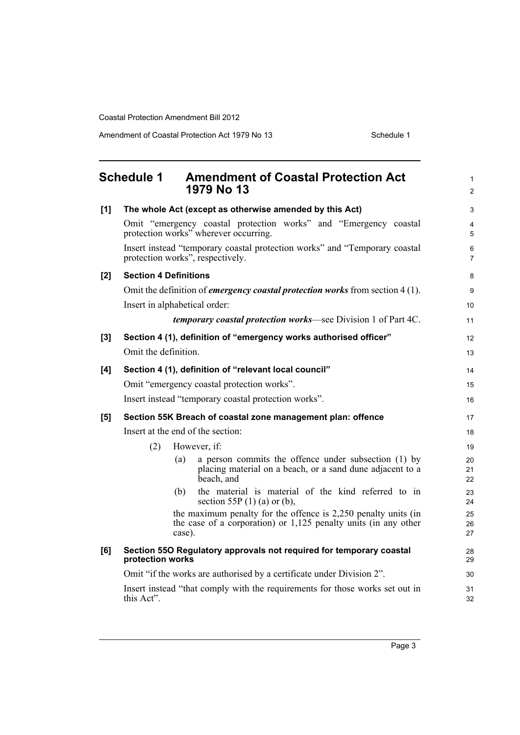Amendment of Coastal Protection Act 1979 No 13 Schedule 1

<span id="page-8-0"></span>

|     | <b>Schedule 1</b>    | <b>Amendment of Coastal Protection Act</b><br>1979 No 13                                                                                      | $\mathbf{1}$<br>2   |
|-----|----------------------|-----------------------------------------------------------------------------------------------------------------------------------------------|---------------------|
| [1] |                      | The whole Act (except as otherwise amended by this Act)                                                                                       | 3                   |
|     |                      | Omit "emergency coastal protection works" and "Emergency coastal<br>protection works" wherever occurring.                                     | $\overline{4}$<br>5 |
|     |                      | Insert instead "temporary coastal protection works" and "Temporary coastal<br>protection works", respectively.                                | 6<br>$\overline{7}$ |
| [2] |                      | <b>Section 4 Definitions</b>                                                                                                                  | 8                   |
|     |                      | Omit the definition of <i>emergency coastal protection works</i> from section 4(1).                                                           | 9                   |
|     |                      | Insert in alphabetical order:                                                                                                                 | 10 <sup>1</sup>     |
|     |                      | <i>temporary coastal protection works</i> —see Division 1 of Part 4C.                                                                         | 11                  |
| [3] |                      | Section 4 (1), definition of "emergency works authorised officer"                                                                             | 12                  |
|     | Omit the definition. |                                                                                                                                               | 13                  |
| [4] |                      | Section 4 (1), definition of "relevant local council"                                                                                         | 14                  |
|     |                      | Omit "emergency coastal protection works".                                                                                                    | 15                  |
|     |                      | Insert instead "temporary coastal protection works".                                                                                          | 16                  |
| [5] |                      | Section 55K Breach of coastal zone management plan: offence                                                                                   | 17                  |
|     |                      | Insert at the end of the section:                                                                                                             | 18                  |
|     | (2)                  | However, if:                                                                                                                                  | 19                  |
|     |                      | a person commits the offence under subsection (1) by<br>(a)<br>placing material on a beach, or a sand dune adjacent to a<br>beach, and        | 20<br>21<br>22      |
|     |                      | the material is material of the kind referred to in<br>(b)<br>section 55P $(1)$ (a) or (b),                                                   | 23<br>24            |
|     |                      | the maximum penalty for the offence is 2,250 penalty units (in<br>the case of a corporation) or $1,125$ penalty units (in any other<br>case). | 25<br>26<br>27      |
| [6] | protection works     | Section 550 Regulatory approvals not required for temporary coastal                                                                           | 28<br>29            |
|     |                      | Omit "if the works are authorised by a certificate under Division 2".                                                                         | 30                  |
|     | this Act".           | Insert instead "that comply with the requirements for those works set out in                                                                  | 31<br>32            |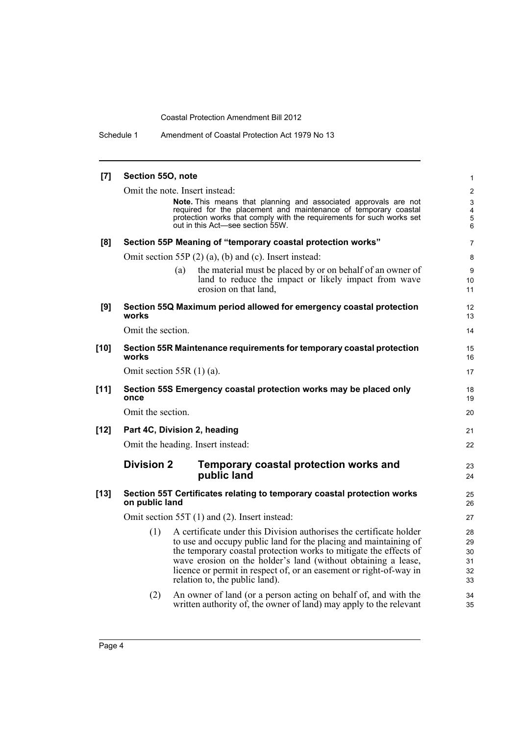Schedule 1 Amendment of Coastal Protection Act 1979 No 13

| [7]    | Section 550, note |                                                                                                                                    | 1                            |
|--------|-------------------|------------------------------------------------------------------------------------------------------------------------------------|------------------------------|
|        |                   | Omit the note. Insert instead:                                                                                                     | $\overline{2}$               |
|        |                   | Note. This means that planning and associated approvals are not<br>required for the placement and maintenance of temporary coastal | 3<br>$\overline{\mathbf{4}}$ |
|        |                   | protection works that comply with the requirements for such works set                                                              | $\overline{5}$               |
|        |                   | out in this Act-see section 55W.                                                                                                   | 6                            |
| [8]    |                   | Section 55P Meaning of "temporary coastal protection works"                                                                        | $\overline{7}$               |
|        |                   | Omit section 55P $(2)$ $(a)$ , $(b)$ and $(c)$ . Insert instead:                                                                   | 8                            |
|        |                   | the material must be placed by or on behalf of an owner of<br>(a)                                                                  | 9                            |
|        |                   | land to reduce the impact or likely impact from wave<br>erosion on that land.                                                      | 10                           |
|        |                   |                                                                                                                                    | 11                           |
| [9]    | works             | Section 55Q Maximum period allowed for emergency coastal protection                                                                | 12<br>13                     |
|        | Omit the section. |                                                                                                                                    | 14                           |
|        |                   |                                                                                                                                    |                              |
| $[10]$ | works             | Section 55R Maintenance requirements for temporary coastal protection                                                              | 15<br>16                     |
|        |                   | Omit section 55R $(1)$ (a).                                                                                                        | 17                           |
| [11]   | once              | Section 55S Emergency coastal protection works may be placed only                                                                  | 18<br>19                     |
|        | Omit the section. |                                                                                                                                    | 20                           |
| $[12]$ |                   | Part 4C, Division 2, heading                                                                                                       | 21                           |
|        |                   | Omit the heading. Insert instead:                                                                                                  | 22                           |
|        | <b>Division 2</b> | Temporary coastal protection works and                                                                                             | 23                           |
|        |                   | public land                                                                                                                        | 24                           |
| $[13]$ |                   | Section 55T Certificates relating to temporary coastal protection works                                                            | 25                           |
|        | on public land    |                                                                                                                                    | 26                           |
|        |                   | Omit section 55T (1) and (2). Insert instead:                                                                                      | 27                           |
|        | (1)               | A certificate under this Division authorises the certificate holder                                                                | 28                           |
|        |                   | to use and occupy public land for the placing and maintaining of                                                                   | 29                           |
|        |                   | the temporary coastal protection works to mitigate the effects of<br>wave erosion on the holder's land (without obtaining a lease, | 30                           |
|        |                   | licence or permit in respect of, or an easement or right-of-way in                                                                 | 31<br>32                     |
|        |                   | relation to, the public land).                                                                                                     | 33                           |
|        | (2)               | An owner of land (or a person acting on behalf of, and with the                                                                    | 34                           |
|        |                   | written authority of, the owner of land) may apply to the relevant                                                                 | 35                           |
|        |                   |                                                                                                                                    |                              |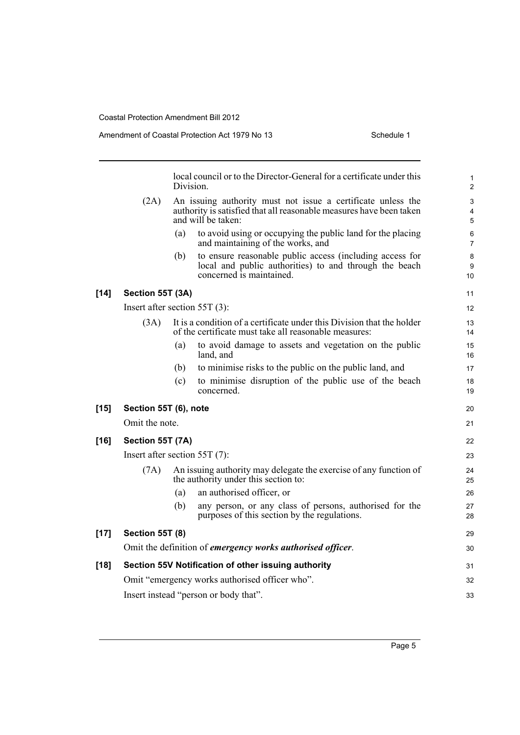|        |                                 | Division. | local council or to the Director-General for a certificate under this                                                                                     | 1<br>$\overline{2}$ |
|--------|---------------------------------|-----------|-----------------------------------------------------------------------------------------------------------------------------------------------------------|---------------------|
|        | (2A)                            |           | An issuing authority must not issue a certificate unless the<br>authority is satisfied that all reasonable measures have been taken<br>and will be taken: | 3<br>4<br>5         |
|        |                                 | (a)       | to avoid using or occupying the public land for the placing<br>and maintaining of the works, and                                                          | 6<br>$\overline{7}$ |
|        |                                 | (b)       | to ensure reasonable public access (including access for<br>local and public authorities) to and through the beach<br>concerned is maintained.            | 8<br>9<br>10        |
| $[14]$ | Section 55T (3A)                |           |                                                                                                                                                           | 11                  |
|        | Insert after section $55T(3)$ : |           |                                                                                                                                                           | $12 \overline{ }$   |
|        | (3A)                            |           | It is a condition of a certificate under this Division that the holder<br>of the certificate must take all reasonable measures:                           | 13<br>14            |
|        |                                 | (a)       | to avoid damage to assets and vegetation on the public<br>land, and                                                                                       | 15<br>16            |
|        |                                 | (b)       | to minimise risks to the public on the public land, and                                                                                                   | 17                  |
|        |                                 | (c)       | to minimise disruption of the public use of the beach<br>concerned.                                                                                       | 18<br>19            |
| $[15]$ | Section 55T (6), note           |           |                                                                                                                                                           | 20                  |
|        | Omit the note.                  |           |                                                                                                                                                           | 21                  |
| $[16]$ | Section 55T (7A)                |           |                                                                                                                                                           | 22                  |
|        | Insert after section $55T(7)$ : |           |                                                                                                                                                           | 23                  |
|        | (7A)                            |           | An issuing authority may delegate the exercise of any function of<br>the authority under this section to:                                                 | 24<br>25            |
|        |                                 | (a)       | an authorised officer, or                                                                                                                                 | 26                  |
|        |                                 | (b)       | any person, or any class of persons, authorised for the<br>purposes of this section by the regulations.                                                   | 27<br>28            |
| $[17]$ | <b>Section 55T (8)</b>          |           |                                                                                                                                                           | 29                  |
|        |                                 |           | Omit the definition of emergency works authorised officer.                                                                                                | 30                  |
| $[18]$ |                                 |           | Section 55V Notification of other issuing authority                                                                                                       | 31                  |
|        |                                 |           | Omit "emergency works authorised officer who".                                                                                                            | 32                  |
|        |                                 |           | Insert instead "person or body that".                                                                                                                     | 33                  |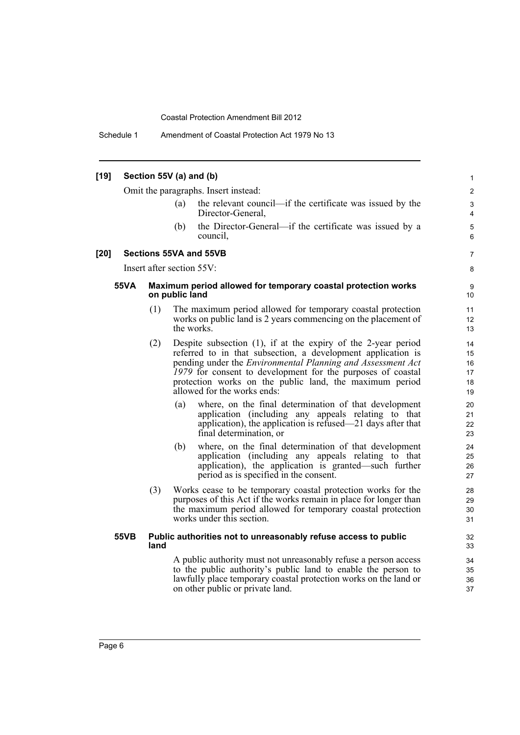Schedule 1 Amendment of Coastal Protection Act 1979 No 13

#### **[19] Section 55V (a) and (b)** Omit the paragraphs. Insert instead: (a) the relevant council—if the certificate was issued by the Director-General, (b) the Director-General—if the certificate was issued by a council, **[20] Sections 55VA and 55VB** Insert after section 55V: **55VA Maximum period allowed for temporary coastal protection works on public land** (1) The maximum period allowed for temporary coastal protection works on public land is 2 years commencing on the placement of the works. (2) Despite subsection (1), if at the expiry of the 2-year period referred to in that subsection, a development application is pending under the *Environmental Planning and Assessment Act 1979* for consent to development for the purposes of coastal protection works on the public land, the maximum period allowed for the works ends: (a) where, on the final determination of that development application (including any appeals relating to that application), the application is refused—21 days after that final determination, or (b) where, on the final determination of that development application (including any appeals relating to that application), the application is granted—such further period as is specified in the consent. (3) Works cease to be temporary coastal protection works for the purposes of this Act if the works remain in place for longer than the maximum period allowed for temporary coastal protection works under this section. **55VB Public authorities not to unreasonably refuse access to public land** A public authority must not unreasonably refuse a person access to the public authority's public land to enable the person to lawfully place temporary coastal protection works on the land or on other public or private land. 1 2 3 4 5 6 7 8 9 10 11 12 13 14 15 16 17 18 19 20 21 22 23  $24$ 25 26 27 28 29 30 31 32 33 34 35 36 37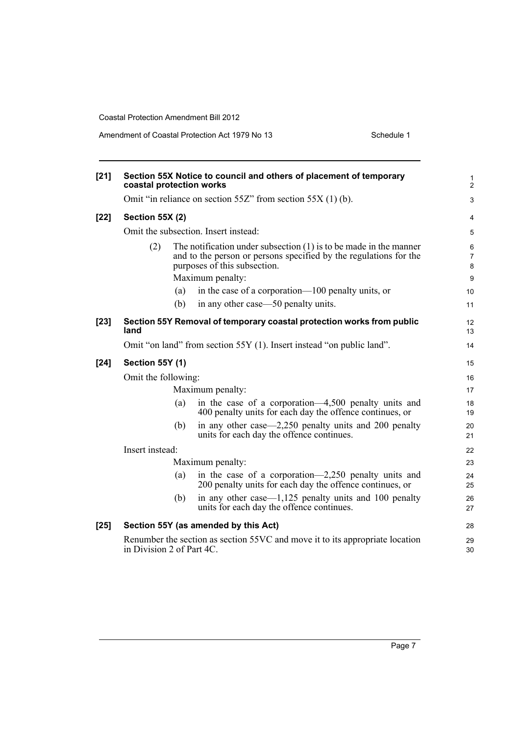Amendment of Coastal Protection Act 1979 No 13 Schedule 1

| $[21]$ | coastal protection works                                              |     | Section 55X Notice to council and others of placement of temporary                                                                                                                           | $\mathbf{1}$<br>$\overline{2}$      |
|--------|-----------------------------------------------------------------------|-----|----------------------------------------------------------------------------------------------------------------------------------------------------------------------------------------------|-------------------------------------|
|        |                                                                       |     | Omit "in reliance on section $55Z$ " from section $55X(1)$ (b).                                                                                                                              | 3                                   |
| $[22]$ | <b>Section 55X (2)</b>                                                |     |                                                                                                                                                                                              | $\overline{4}$                      |
|        |                                                                       |     | Omit the subsection. Insert instead:                                                                                                                                                         | 5                                   |
|        | (2)                                                                   |     | The notification under subsection $(1)$ is to be made in the manner<br>and to the person or persons specified by the regulations for the<br>purposes of this subsection.<br>Maximum penalty: | 6<br>$\overline{7}$<br>$\bf 8$<br>9 |
|        |                                                                       | (a) | in the case of a corporation—100 penalty units, or                                                                                                                                           | 10                                  |
|        |                                                                       | (b) | in any other case—50 penalty units.                                                                                                                                                          | 11                                  |
| $[23]$ | land                                                                  |     | Section 55Y Removal of temporary coastal protection works from public                                                                                                                        | 12<br>13                            |
|        | Omit "on land" from section 55Y (1). Insert instead "on public land". |     |                                                                                                                                                                                              | 14                                  |
| $[24]$ | <b>Section 55Y (1)</b>                                                |     | 15                                                                                                                                                                                           |                                     |
|        | Omit the following:                                                   |     |                                                                                                                                                                                              |                                     |
|        | Maximum penalty:                                                      |     |                                                                                                                                                                                              | 17                                  |
|        |                                                                       | (a) | in the case of a corporation—4,500 penalty units and<br>400 penalty units for each day the offence continues, or                                                                             | 18<br>19                            |
|        |                                                                       | (b) | in any other case—2,250 penalty units and 200 penalty<br>units for each day the offence continues.                                                                                           | 20<br>21                            |
|        | Insert instead:                                                       |     |                                                                                                                                                                                              | 22                                  |
|        | Maximum penalty:                                                      |     |                                                                                                                                                                                              |                                     |
|        |                                                                       | (a) | in the case of a corporation—2,250 penalty units and<br>200 penalty units for each day the offence continues, or                                                                             | 24<br>25                            |
|        |                                                                       | (b) | in any other case— $1,125$ penalty units and 100 penalty<br>units for each day the offence continues.                                                                                        | 26<br>27                            |
| $[25]$ |                                                                       |     | Section 55Y (as amended by this Act)                                                                                                                                                         | 28                                  |
|        | in Division 2 of Part 4C.                                             |     | Renumber the section as section 55VC and move it to its appropriate location                                                                                                                 | 29<br>30                            |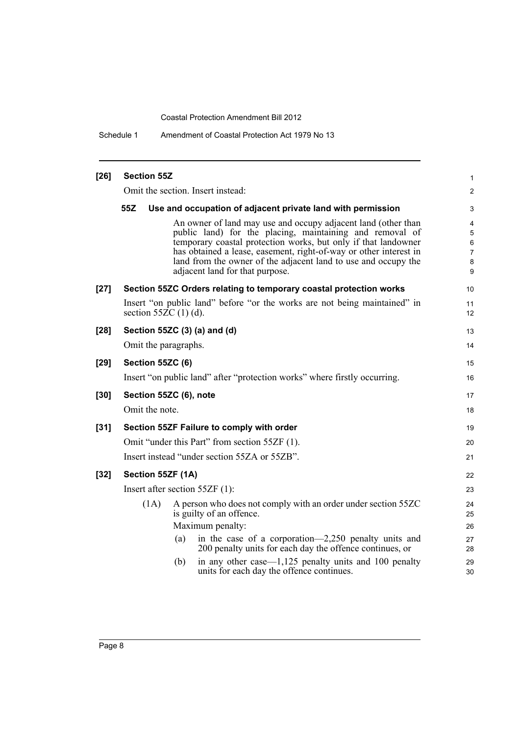Schedule 1 Amendment of Coastal Protection Act 1979 No 13

| $[26]$ | <b>Section 55Z</b>                                                                                                                                                                                                                                                                                                                                                    | 1                                       |
|--------|-----------------------------------------------------------------------------------------------------------------------------------------------------------------------------------------------------------------------------------------------------------------------------------------------------------------------------------------------------------------------|-----------------------------------------|
|        | Omit the section. Insert instead:                                                                                                                                                                                                                                                                                                                                     | $\overline{2}$                          |
|        | 55Z<br>Use and occupation of adjacent private land with permission                                                                                                                                                                                                                                                                                                    | 3                                       |
|        | An owner of land may use and occupy adjacent land (other than<br>public land) for the placing, maintaining and removal of<br>temporary coastal protection works, but only if that landowner<br>has obtained a lease, easement, right-of-way or other interest in<br>land from the owner of the adjacent land to use and occupy the<br>adjacent land for that purpose. | 4<br>5<br>6<br>$\overline{7}$<br>8<br>9 |
| $[27]$ | Section 55ZC Orders relating to temporary coastal protection works                                                                                                                                                                                                                                                                                                    | 10                                      |
|        | Insert "on public land" before "or the works are not being maintained" in<br>section 55 $\overline{Z}C(1)(d)$ .                                                                                                                                                                                                                                                       | 11<br>12                                |
| $[28]$ | Section 55ZC (3) (a) and (d)                                                                                                                                                                                                                                                                                                                                          | 13                                      |
|        | Omit the paragraphs.                                                                                                                                                                                                                                                                                                                                                  | 14                                      |
| $[29]$ | Section 55ZC (6)                                                                                                                                                                                                                                                                                                                                                      | 15                                      |
|        | Insert "on public land" after "protection works" where firstly occurring.                                                                                                                                                                                                                                                                                             | 16                                      |
| $[30]$ | Section 55ZC (6), note                                                                                                                                                                                                                                                                                                                                                | 17                                      |
|        | Omit the note.                                                                                                                                                                                                                                                                                                                                                        | 18                                      |
| $[31]$ | Section 55ZF Failure to comply with order                                                                                                                                                                                                                                                                                                                             | 19                                      |
|        | Omit "under this Part" from section 55ZF (1).                                                                                                                                                                                                                                                                                                                         | 20                                      |
|        | Insert instead "under section 55ZA or 55ZB".                                                                                                                                                                                                                                                                                                                          | 21                                      |
| $[32]$ | Section 55ZF (1A)                                                                                                                                                                                                                                                                                                                                                     | 22                                      |
|        | Insert after section $55ZF(1)$ :                                                                                                                                                                                                                                                                                                                                      | 23                                      |
|        | A person who does not comply with an order under section 55ZC<br>(1A)<br>is guilty of an offence.<br>Maximum penalty:<br>in the case of a corporation—2,250 penalty units and<br>(a)                                                                                                                                                                                  | 24<br>25<br>26<br>27                    |
|        | 200 penalty units for each day the offence continues, or<br>in any other case— $1,125$ penalty units and 100 penalty<br>(b)                                                                                                                                                                                                                                           | 28<br>29                                |
|        | units for each day the offence continues.                                                                                                                                                                                                                                                                                                                             | 30                                      |
|        |                                                                                                                                                                                                                                                                                                                                                                       |                                         |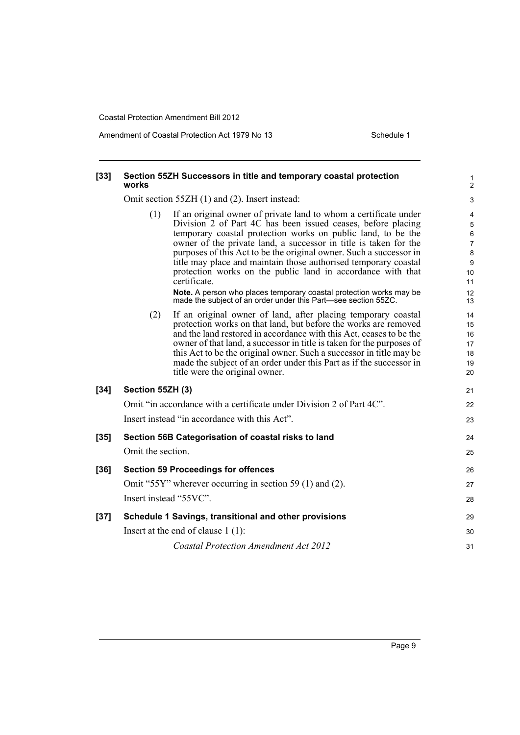Amendment of Coastal Protection Act 1979 No 13 Schedule 1

#### **[33] Section 55ZH Successors in title and temporary coastal protection works**

Omit section 55ZH (1) and (2). Insert instead:

(1) If an original owner of private land to whom a certificate under Division 2 of Part 4C has been issued ceases, before placing temporary coastal protection works on public land, to be the owner of the private land, a successor in title is taken for the purposes of this Act to be the original owner. Such a successor in title may place and maintain those authorised temporary coastal protection works on the public land in accordance with that certificate. **Note.** A person who places temporary coastal protection works may be made the subject of an order under this Part—see section 55ZC. (2) If an original owner of land, after placing temporary coastal protection works on that land, but before the works are removed and the land restored in accordance with this Act, ceases to be the owner of that land, a successor in title is taken for the purposes of this Act to be the original owner. Such a successor in title may be made the subject of an order under this Part as if the successor in title were the original owner. **[34] Section 55ZH (3)** Omit "in accordance with a certificate under Division 2 of Part 4C". Insert instead "in accordance with this Act". **[35] Section 56B Categorisation of coastal risks to land** Omit the section. **[36] Section 59 Proceedings for offences** Omit "55Y" wherever occurring in section 59 (1) and (2). Insert instead "55VC". **[37] Schedule 1 Savings, transitional and other provisions** Insert at the end of clause 1 (1): *Coastal Protection Amendment Act 2012* 4 5 6 7 8  $\mathsf{q}$ 10 11 12 13  $14$ 15 16 17 18 19 20 21 22 23 24 25 26 27 28 29 30 31

1  $\overline{2}$  $\overline{a}$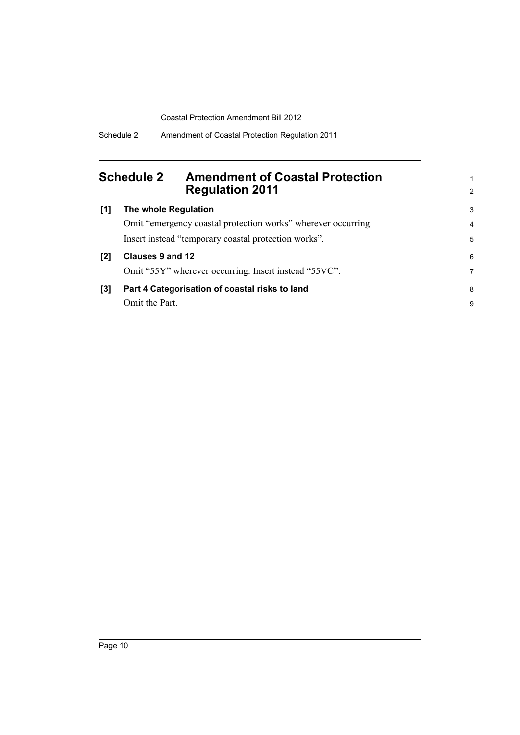## <span id="page-15-0"></span>**Schedule 2 Amendment of Coastal Protection Regulation 2011**

| [1] | The whole Regulation                                          | 3 |
|-----|---------------------------------------------------------------|---|
|     | Omit "emergency coastal protection works" wherever occurring. | 4 |
|     | Insert instead "temporary coastal protection works".          | 5 |
|     | Clauses 9 and 12                                              | 6 |
|     | Omit "55Y" wherever occurring. Insert instead "55VC".         | 7 |
| [3] | Part 4 Categorisation of coastal risks to land                | 8 |
|     | Omit the Part.                                                | 9 |

1 2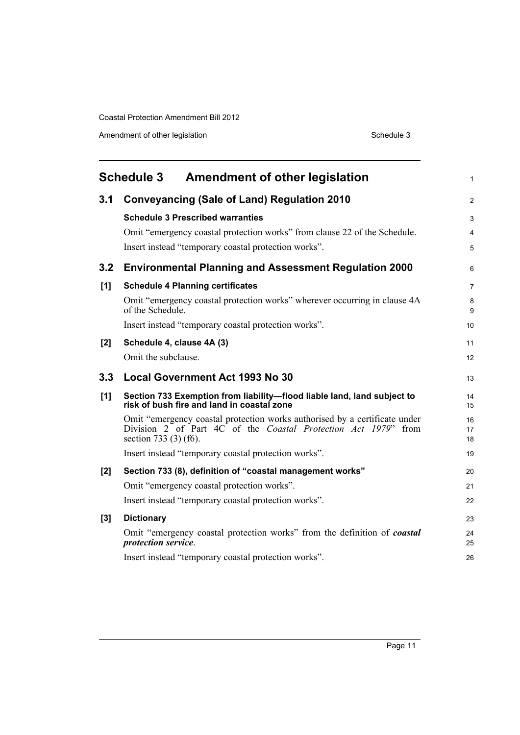Amendment of other legislation Schedule 3

<span id="page-16-0"></span>

|     | <b>Schedule 3</b><br><b>Amendment of other legislation</b>                                                                                                                    | 1              |
|-----|-------------------------------------------------------------------------------------------------------------------------------------------------------------------------------|----------------|
| 3.1 | <b>Conveyancing (Sale of Land) Regulation 2010</b>                                                                                                                            | 2              |
|     | <b>Schedule 3 Prescribed warranties</b>                                                                                                                                       | 3              |
|     | Omit "emergency coastal protection works" from clause 22 of the Schedule.                                                                                                     | $\overline{4}$ |
|     | Insert instead "temporary coastal protection works".                                                                                                                          | 5              |
| 3.2 | <b>Environmental Planning and Assessment Regulation 2000</b>                                                                                                                  | 6              |
| [1] | <b>Schedule 4 Planning certificates</b>                                                                                                                                       | $\overline{7}$ |
|     | Omit "emergency coastal protection works" wherever occurring in clause 4A<br>of the Schedule.                                                                                 | 8<br>9         |
|     | Insert instead "temporary coastal protection works".                                                                                                                          | 10             |
| [2] | Schedule 4, clause 4A (3)                                                                                                                                                     | 11             |
|     | Omit the subclause.                                                                                                                                                           | 12             |
| 3.3 | <b>Local Government Act 1993 No 30</b>                                                                                                                                        | 13             |
| [1] | Section 733 Exemption from liability-flood liable land, land subject to<br>risk of bush fire and land in coastal zone                                                         | 14<br>15       |
|     | Omit "emergency coastal protection works authorised by a certificate under<br>Division 2 of Part 4C of the <i>Coastal Protection Act 1979</i> " from<br>section 733 (3) (f6). | 16<br>17<br>18 |
|     | Insert instead "temporary coastal protection works".                                                                                                                          | 19             |
| [2] | Section 733 (8), definition of "coastal management works"                                                                                                                     | 20             |
|     | Omit "emergency coastal protection works".                                                                                                                                    | 21             |
|     | Insert instead "temporary coastal protection works".                                                                                                                          | 22             |
| [3] | <b>Dictionary</b>                                                                                                                                                             | 23             |
|     | Omit "emergency coastal protection works" from the definition of <i>coastal</i><br>protection service.                                                                        | 24<br>25       |
|     | Insert instead "temporary coastal protection works".                                                                                                                          | 26             |